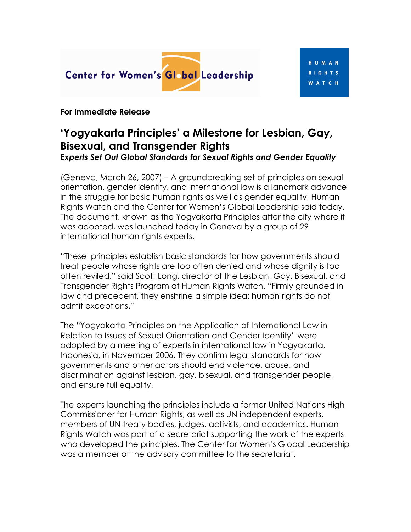

HUMAN RIGHTS **WATCH** 

## **For Immediate Release**

## **'Yogyakarta Principles' a Milestone for Lesbian, Gay, Bisexual, and Transgender Rights**

*Experts Set Out Global Standards for Sexual Rights and Gender Equality*

(Geneva, March 26, 2007) – A groundbreaking set of principles on sexual orientation, gender identity, and international law is a landmark advance in the struggle for basic human rights as well as gender equality, Human Rights Watch and the Center for Women's Global Leadership said today. The document, known as the Yogyakarta Principles after the city where it was adopted, was launched today in Geneva by a group of 29 international human rights experts.

"These principles establish basic standards for how governments should treat people whose rights are too often denied and whose dignity is too often reviled," said Scott Long, director of the Lesbian, Gay, Bisexual, and Transgender Rights Program at Human Rights Watch. "Firmly grounded in law and precedent, they enshrine a simple idea: human rights do not admit exceptions."

The "Yogyakarta Principles on the Application of International Law in Relation to Issues of Sexual Orientation and Gender Identity" were adopted by a meeting of experts in international law in Yogyakarta, Indonesia, in November 2006. They confirm legal standards for how governments and other actors should end violence, abuse, and discrimination against lesbian, gay, bisexual, and transgender people, and ensure full equality.

The experts launching the principles include a former United Nations High Commissioner for Human Rights, as well as UN independent experts, members of UN treaty bodies, judges, activists, and academics. Human Rights Watch was part of a secretariat supporting the work of the experts who developed the principles. The Center for Women's Global Leadership was a member of the advisory committee to the secretariat.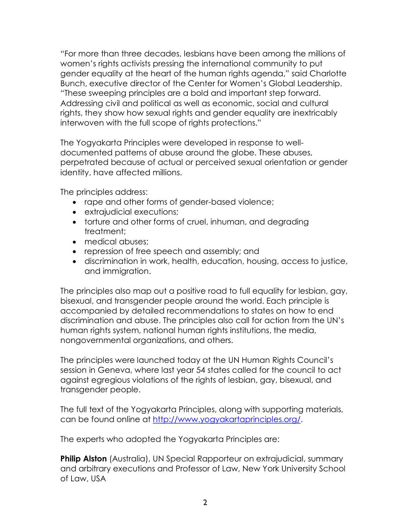"For more than three decades, lesbians have been among the millions of women's rights activists pressing the international community to put gender equality at the heart of the human rights agenda," said Charlotte Bunch, executive director of the Center for Women's Global Leadership. "These sweeping principles are a bold and important step forward. Addressing civil and political as well as economic, social and cultural rights, they show how sexual rights and gender equality are inextricably interwoven with the full scope of rights protections."

The Yogyakarta Principles were developed in response to well documented patterns of abuse around the globe. These abuses, perpetrated because of actual or perceived sexual orientation or gender identity, have affected millions.

The principles address:

- rape and other forms of gender-based violence;
- · extrajudicial executions;
- · torture and other forms of cruel, inhuman, and degrading treatment;
- · medical abuses;
- · repression of free speech and assembly; and
- · discrimination in work, health, education, housing, access to justice, and immigration.

The principles also map out a positive road to full equality for lesbian, gay, bisexual, and transgender people around the world. Each principle is accompanied by detailed recommendations to states on how to end discrimination and abuse. The principles also call for action from the UN's human rights system, national human rights institutions, the media, nongovernmental organizations, and others.

The principles were launched today at the UN Human Rights Council's session in Geneva, where last year 54 states called for the council to act against egregious violations of the rights of lesbian, gay, bisexual, and transgender people.

The full text of the Yogyakarta Principles, along with supporting materials, can be found online at <http://www.yogyakartaprinciples.org/>.

The experts who adopted the Yogyakarta Principles are:

**Philip Alston** (Australia), UN Special Rapporteur on extrajudicial, summary and arbitrary executions and Professor of Law, New York University School of Law, USA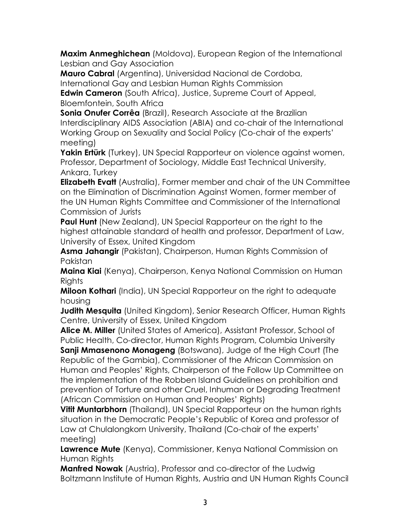**Maxim Anmeghichean** (Moldova), European Region of the International Lesbian and Gay Association

**Mauro Cabral** (Argentina), Universidad Nacional de Cordoba,

International Gay and Lesbian Human Rights Commission

**Edwin Cameron** (South Africa), Justice, Supreme Court of Appeal, Bloemfontein, South Africa

**Sonia Onufer Corrêa** (Brazil), Research Associate at the Brazilian Interdisciplinary AIDS Association (ABIA) and co-chair of the International Working Group on Sexuality and Social Policy (Co-chair of the experts' meeting)

**Yakin Ertürk** (Turkey), UN Special Rapporteur on violence against women,<br>Professor, Department of Sociology, Middle East Technical University, Ankara, Turkey

**Elizabeth Evatt** (Australia), Former member and chair of the UN Committee on the Elimination of Discrimination Against Women, former member of the UN Human Rights Committee and Commissioner of the International Commission of Jurists

**Paul Hunt** (New Zealand), UN Special Rapporteur on the right to the highest attainable standard of health and professor, Department of Law, University of Essex, United Kingdom

**Asma Jahangir** (Pakistan), Chairperson, Human Rights Commission of Pakistan

**Maina Kiai** (Kenya), Chairperson, Kenya National Commission on Human **Rights** 

**Miloon Kothari** (India), UN Special Rapporteur on the right to adequate housing

**Judith Mesquita** (United Kingdom), Senior Research Officer, Human Rights Centre, University of Essex, United Kingdom

**Alice M. Miller** (United States of America), Assistant Professor, School of Public Health, Co-director, Human Rights Program, Columbia University

**Sanji Mmasenono Monageng** (Botswana), Judge of the High Court (The Republic of the Gambia), Commissioner of the African Commission on Human and Peoples' Rights, Chairperson of the Follow Up Committee on the implementation of the Robben Island Guidelines on prohibition and prevention of Torture and other Cruel, Inhuman or Degrading Treatment (African Commission on Human and Peoples' Rights)

**Vitit Muntarbhorn** (Thailand), UN Special Rapporteur on the human rights situation in the Democratic People's Republic of Korea and professor of Law at Chulalongkorn University, Thailand (Co-chair of the experts' meeting)

**Lawrence Mute** (Kenya), Commissioner, Kenya National Commission on Human Rights

**Manfred Nowak** (Austria), Professor and co-director of the Ludwig Boltzmann Institute of Human Rights, Austria and UN Human Rights Council